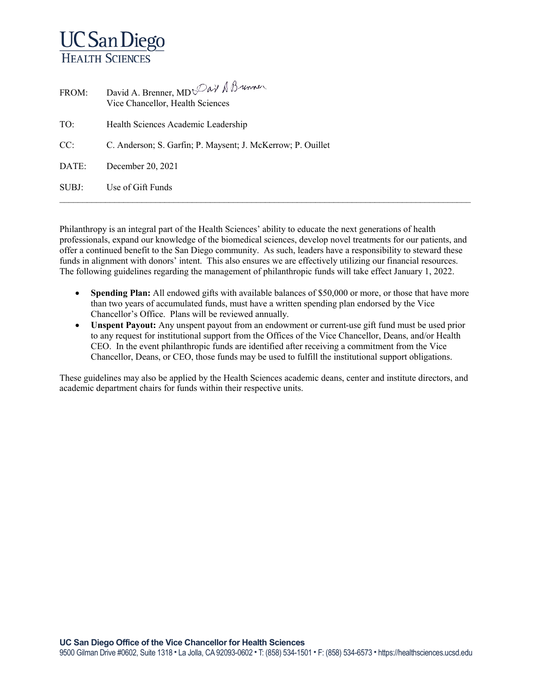## **UC San Diego HEALTH SCIENCES**

| FROM: | David A. Brenner, $MD^{Day}$ $\Lambda^{Bawn}$<br>Vice Chancellor, Health Sciences |
|-------|-----------------------------------------------------------------------------------|
| TO:   | Health Sciences Academic Leadership                                               |
| CC:   | C. Anderson; S. Garfin; P. Maysent; J. McKerrow; P. Ouillet                       |
| DATE: | December 20, 2021                                                                 |
| SUBJ: | Use of Gift Funds                                                                 |

Philanthropy is an integral part of the Health Sciences' ability to educate the next generations of health professionals, expand our knowledge of the biomedical sciences, develop novel treatments for our patients, and offer a continued benefit to the San Diego community. As such, leaders have a responsibility to steward these funds in alignment with donors' intent. This also ensures we are effectively utilizing our financial resources. The following guidelines regarding the management of philanthropic funds will take effect January 1, 2022.

- **Spending Plan:** All endowed gifts with available balances of \$50,000 or more, or those that have more than two years of accumulated funds, must have a written spending plan endorsed by the Vice Chancellor's Office. Plans will be reviewed annually.
- **Unspent Payout:** Any unspent payout from an endowment or current-use gift fund must be used prior to any request for institutional support from the Offices of the Vice Chancellor, Deans, and/or Health CEO. In the event philanthropic funds are identified after receiving a commitment from the Vice Chancellor, Deans, or CEO, those funds may be used to fulfill the institutional support obligations.

These guidelines may also be applied by the Health Sciences academic deans, center and institute directors, and academic department chairs for funds within their respective units.